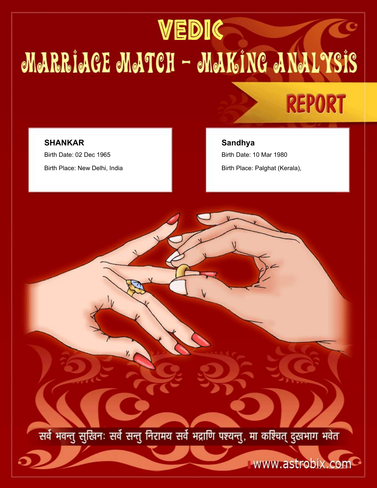# VEDIC MARRIACE MATCH - MAKING ANALYSIS



## **SHANKAR** Birth Date: 02 Dec 1965 Birth Place: New Delhi, India

**Sandhya**

Birth Date: 10 Mar 1980 Birth Place: Palghat (Kerala),

सर्वे भवन्तु सुखिनः सर्वे सन्तु निरामय सर्वे भद्राणि पश्यन्तु, मा कश्चित् दुखभाग भवेत

www.astrobix.com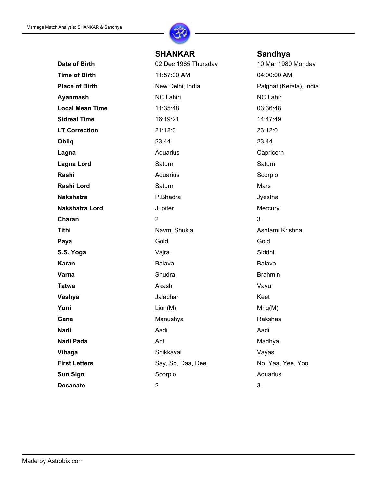

## **SHANKAR Sandhya**

**Date of Birth** 02 Dec 1965 Thursday 10 Mar 1980 Monday **Time of Birth 11:57:00 AM 04:00:00 AM Place of Birth** New Delhi, India Palghat (Kerala), India Personal Palghat (Kerala), India **Ayanmash** NC Lahiri NC Lahiri NC Lahiri NC Lahiri **Local Mean Time** 11:35:48 03:36:48 **Sidreal Time** 16:19:21 16:19 14:47:49 **LT Correction** 21:12:0 23:12:0 **Obliq** 23.44 23.44 23.44 **Lagna Capricorn Capricorn Capricorn Capricorn Lagna Lord** Saturn Saturn Saturn Saturn Saturn Saturn Saturn Saturn Saturn Saturn Saturn Saturn Saturn Saturn Saturn Saturn Saturn Saturn Saturn Saturn Saturn Saturn Saturn Saturn Saturn Saturn Saturn Saturn Saturn Saturn **Rashi** Aquarius Aquarius Scorpio **Rashi Lord** Saturn Saturn Mars **Nakshatra P.Bhadra P.Bhadra P.Bhadra Jyestha Nakshatra Lord Makshatra Lord** Jupiter **Mercury Charan** 2 3 **Tithi** Navmi Shukla Ashtami Krishna Paya Gold Gold Gold Gold Gold **S.S. Yoga** Vajra Vajra Siddhi **Karan** Balava Balava Balava Balava **Varna** Brahmin Shudra Brahmin Brahmin **Tatwa** Akash Vayu **Vashya** Keet **Yoni** Mrig(M) and  $\mathsf{Lion}(\mathsf{M})$ **Gana** Rakshas Manushya **Manushya** Rakshas **Nadi** Aadi Aadi Aadi Aadi Aadi **Nadi Pada Ant** Ant Madhya **Vihaga** Vayas Shikkaval Shikkaval Vayas **First Letters** Say, So, Daa, Dee No, Yaa, Yee, Yoo **Sun Sign State Scorpio Aquarius** Scorpio Aquarius **Decanate** 2 3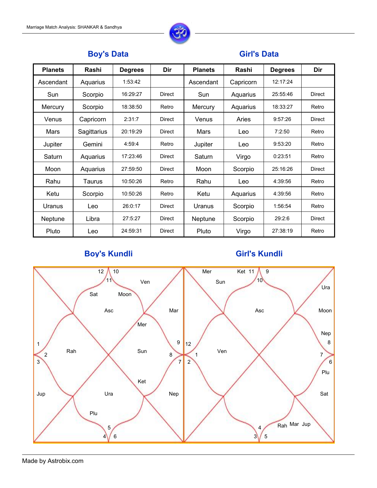

## **Boy's Data**

## **Girl's Data**

| <b>Planets</b> | Rashi         | <b>Degrees</b> | Dir           | <b>Planets</b> | Rashi        | <b>Degrees</b> | Dir           |
|----------------|---------------|----------------|---------------|----------------|--------------|----------------|---------------|
| Ascendant      | Aquarius      | 1:53:42        |               | Ascendant      | Capricorn    | 12:17:24       |               |
| Sun            | Scorpio       | 16:29:27       | <b>Direct</b> | Sun            | Aquarius     | 25:55:46       | <b>Direct</b> |
| <b>Mercury</b> | Scorpio       | 18:38:50       | Retro         | <b>Mercury</b> | Aquarius     | 18:33:27       | Retro         |
| Venus          | Capricorn     | 2:31:7         | <b>Direct</b> | Venus          | <b>Aries</b> | 9:57:26        | <b>Direct</b> |
| <b>Mars</b>    | Sagittarius   | 20:19:29       | <b>Direct</b> | <b>Mars</b>    | Leo          | 7:2:50         | Retro         |
| Jupiter        | Gemini        | 4:59:4         | Retro         | Jupiter        | Leo          | 9:53:20        | Retro         |
| Saturn         | Aquarius      | 17:23:46       | <b>Direct</b> | Saturn         | Virgo        | 0:23:51        | Retro         |
| Moon           | Aquarius      | 27:59:50       | <b>Direct</b> | Moon           | Scorpio      | 25:16:26       | <b>Direct</b> |
| Rahu           | <b>Taurus</b> | 10:50:26       | Retro         | Rahu           | Leo          | 4:39:56        | Retro         |
| Ketu           | Scorpio       | 10:50:26       | Retro         | Ketu           | Aquarius     | 4:39:56        | Retro         |
| <b>Uranus</b>  | Leo           | 26:0:17        | <b>Direct</b> | Uranus         | Scorpio      | 1:56:54        | Retro         |
| <b>Neptune</b> | Libra         | 27:5:27        | <b>Direct</b> | <b>Neptune</b> | Scorpio      | 29:2:6         | <b>Direct</b> |
| Pluto          | Leo           | 24:59:31       | <b>Direct</b> | Pluto          | Virgo        | 27:38:19       | Retro         |

## **Boy's Kundli**

## **Girl's Kundli**

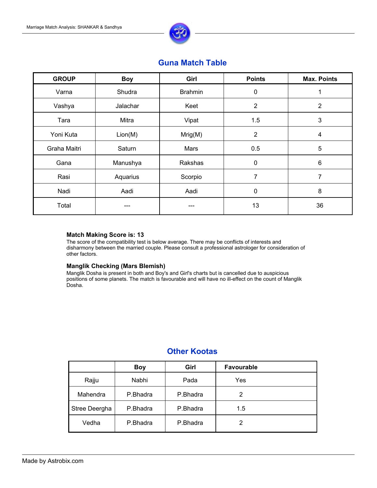

## **Guna Match Table**

| <b>GROUP</b> | Girl<br><b>Boy</b> |                | <b>Points</b>  | <b>Max. Points</b> |
|--------------|--------------------|----------------|----------------|--------------------|
| Varna        | Shudra             | <b>Brahmin</b> | $\theta$       |                    |
| Vashya       | Jalachar           | Keet           | $\overline{2}$ | $\overline{2}$     |
| Tara         | <b>Mitra</b>       | Vipat          | 1.5            | 3                  |
| Yoni Kuta    | Lion(M)            | Mrig(M)        | $\overline{2}$ | 4                  |
| Graha Maitri | Saturn             | <b>Mars</b>    | 0.5            | 5                  |
| Gana         | Manushya           | <b>Rakshas</b> | $\mathbf 0$    | $6\phantom{1}6$    |
| Rasi         | Aquarius           | Scorpio        | $\overline{7}$ | $\overline{7}$     |
| Nadi         | Aadi               | Aadi           | $\mathbf 0$    | 8                  |
| Total        | ---                |                | 13             | 36                 |

### **Match Making Score is: 13**

The score of the compatibility test is below average. There may be conflicts of interests and disharmony between the married couple. Please consult a professional astrologer for consideration of other factors.

### **Manglik Checking (Mars Blemish)**

Manglik Dosha is present in both and Boy's and Girl's charts but is cancelled due to auspicious positions of some planets. The match is favourable and will have no ill-effect on the count of Manglik Dosha.

|                      | <b>Boy</b> | Girl     | <b>Favourable</b> |  |
|----------------------|------------|----------|-------------------|--|
| Rajju                | Nabhi      | Pada     | Yes               |  |
| <b>Mahendra</b>      | P.Bhadra   | P.Bhadra | $\overline{2}$    |  |
| <b>Stree Deergha</b> | P.Bhadra   | P.Bhadra | 1.5               |  |
| Vedha                | P.Bhadra   | P.Bhadra | 2                 |  |

## **Other Kootas**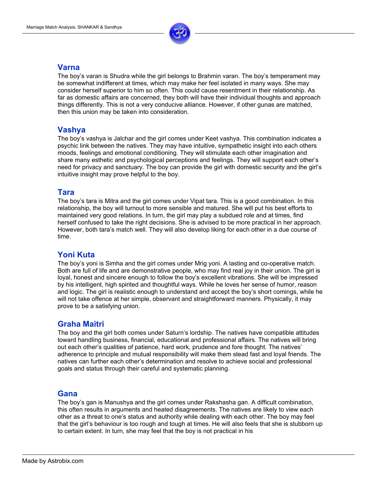

## **Varna**

The boy's varan is Shudra while the girl belongs to Brahmin varan. The boy's temperament may be somewhat indifferent at times, which may make her feel isolated in many ways. She may consider herself superior to him so often. This could cause resentment in their relationship. As far as domestic affairs are concerned, they both will have their individual thoughts and approach things differently. This is not a very conducive alliance. However, if other gunas are matched, then this union may be taken into consideration.

## **Vashya**

The boy's vashya is Jalchar and the girl comes under Keet vashya. This combination indicates a psychic link between the natives. They may have intuitive, sympathetic insight into each others moods, feelings and emotional conditioning. They will stimulate each other imagination and share many esthetic and psychological perceptions and feelings. They will support each other's need for privacy and sanctuary. The boy can provide the girl with domestic security and the girl's intuitive insight may prove helpful to the boy.

## **Tara**

The boy's tara is Mitra and the girl comes under Vipat tara. This is a good combination. In this relationship, the boy will turnout to more sensible and matured. She will put his best efforts to maintained very good relations. In turn, the girl may play a subdued role and at times, find herself confused to take the right decisions. She is advised to be more practical in her approach. However, both tara's match well. They will also develop liking for each other in a due course of time.

## **Yoni Kuta**

The boy's yoni is Simha and the girl comes under Mrig yoni. A lasting and co-operative match. Both are full of life and are demonstrative people, who may find real joy in their union. The girl is loyal, honest and sincere enough to follow the boy's excellent vibrations. She will be impressed by his intelligent, high spirited and thoughtful ways. While he loves her sense of humor, reason and logic. The girl is realistic enough to understand and accept the boy's short comings, while he will not take offence at her simple, observant and straightforward manners. Physically, it may prove to be a satisfying union.

## **Graha Maitri**

The boy and the girl both comes under Saturn's lordship. The natives have compatible attitudes toward handling business, financial, educational and professional affairs. The natives will bring out each other's qualities of patience, hard work, prudence and fore thought. The natives' adherence to principle and mutual responsibility will make them stead fast and loyal friends. The natives can further each other's determination and resolve to achieve social and professional goals and status through their careful and systematic planning.

## **Gana**

The boy's gan is Manushya and the girl comes under Rakshasha gan. A difficult combination, this often results in arguments and heated disagreements. The natives are likely to view each other as a threat to one's status and authority while dealing with each other. The boy may feel that the girl's behaviour is too rough and tough at times. He will also feels that she is stubborn up to certain extent. In turn, she may feel that the boy is not practical in his